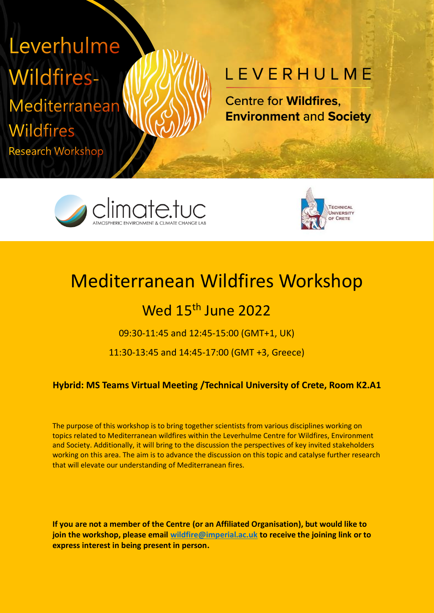# Leverhulme **Wildfires-**Mediterranean

**Wildfires** 

**Research Workshop** 

## LEVERHULME

**Centre for Wildfires. Environment and Society** 





### Mediterranean Wildfires Workshop

### Wed 15<sup>th</sup> June 2022

09:30-11:45 and 12:45-15:00 (GMT+1, UK)

11:30-13:45 and 14:45-17:00 (GMT +3, Greece)

#### **Hybrid: MS Teams Virtual Meeting /Technical University of Crete, Room K2.A1**

The purpose of this workshop is to bring together scientists from various disciplines working on topics related to Mediterranean wildfires within the Leverhulme Centre for Wildfires, Environment and Society. Additionally, it will bring to the discussion the perspectives of key invited stakeholders working on this area. The aim is to advance the discussion on this topic and catalyse further research that will elevate our understanding of Mediterranean fires.

**If you are not a member of the Centre (or an Affiliated Organisation), but would like to join the workshop, please email [wildfire@imperial.ac.uk](mailto:wildfire@imperial.ac.uk) to receive the joining link or to express interest in being present in person.**